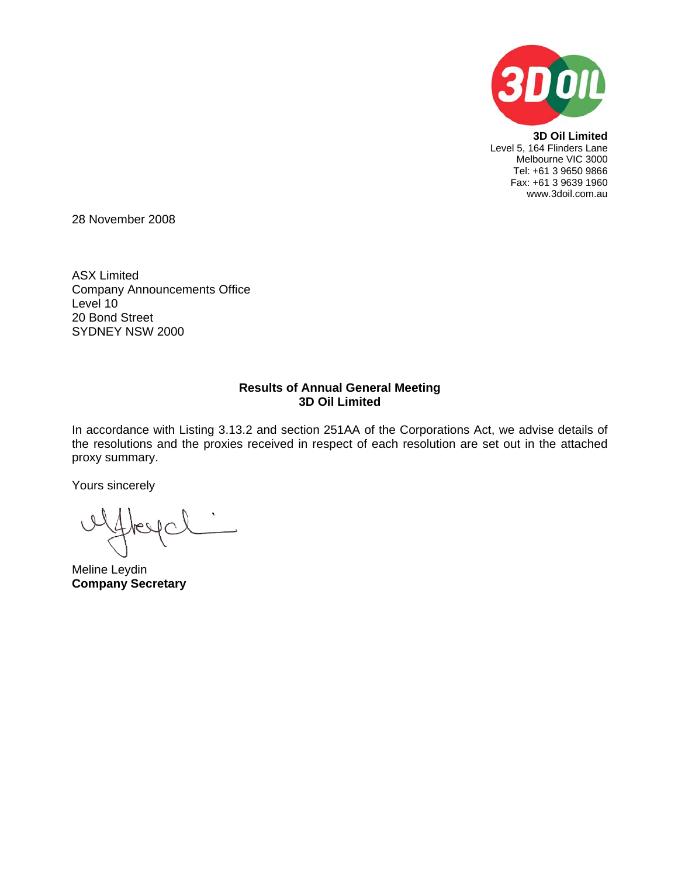

**3D Oil Limited**  Level 5, 164 Flinders Lane Melbourne VIC 3000 Tel: +61 3 9650 9866 Fax: +61 3 9639 1960 www.3doil.com.au

28 November 2008

ASX Limited Company Announcements Office Level 10 20 Bond Street SYDNEY NSW 2000

## **Results of Annual General Meeting 3D Oil Limited**

In accordance with Listing 3.13.2 and section 251AA of the Corporations Act, we advise details of the resolutions and the proxies received in respect of each resolution are set out in the attached proxy summary.

Yours sincerely

Meline Leydin **Company Secretary**